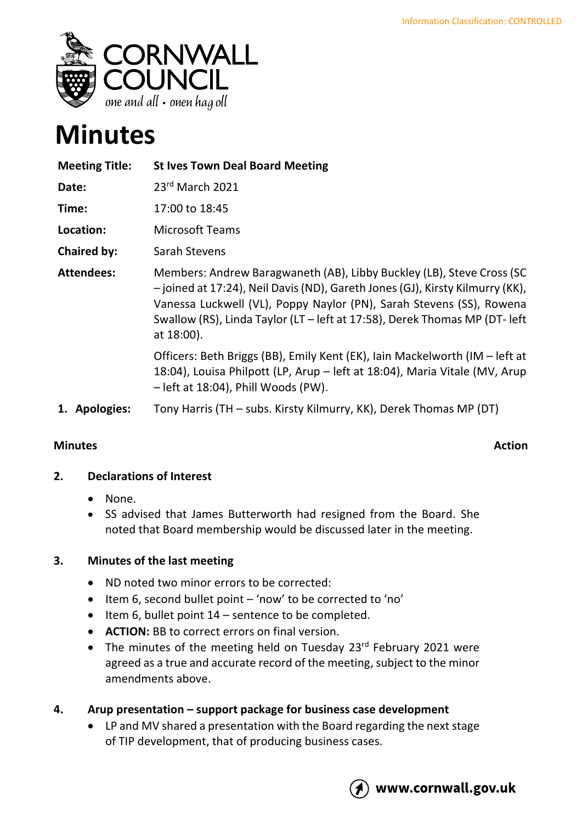

# **Minutes**

| <b>Meeting Title:</b> | <b>St Ives Town Deal Board Meeting</b>                                                                                                                                                                                                                                                                                    |
|-----------------------|---------------------------------------------------------------------------------------------------------------------------------------------------------------------------------------------------------------------------------------------------------------------------------------------------------------------------|
| Date:                 | 23rd March 2021                                                                                                                                                                                                                                                                                                           |
| Time:                 | 17:00 to 18:45                                                                                                                                                                                                                                                                                                            |
| Location:             | <b>Microsoft Teams</b>                                                                                                                                                                                                                                                                                                    |
| <b>Chaired by:</b>    | Sarah Stevens                                                                                                                                                                                                                                                                                                             |
| <b>Attendees:</b>     | Members: Andrew Baragwaneth (AB), Libby Buckley (LB), Steve Cross (SC<br>-joined at 17:24), Neil Davis (ND), Gareth Jones (GJ), Kirsty Kilmurry (KK),<br>Vanessa Luckwell (VL), Poppy Naylor (PN), Sarah Stevens (SS), Rowena<br>Swallow (RS), Linda Taylor (LT - left at 17:58), Derek Thomas MP (DT- left<br>at 18:00). |
|                       | Officers: Beth Briggs (BB), Emily Kent (EK), Iain Mackelworth (IM - left at<br>18:04), Louisa Philpott (LP, Arup - left at 18:04), Maria Vitale (MV, Arup<br>- left at 18:04), Phill Woods (PW).                                                                                                                          |
| 1. Apologies:         | Tony Harris (TH - subs. Kirsty Kilmurry, KK), Derek Thomas MP (DT)                                                                                                                                                                                                                                                        |

# **Minutes Action**

# **2. Declarations of Interest**

- None.
- SS advised that James Butterworth had resigned from the Board. She noted that Board membership would be discussed later in the meeting.

### **3. Minutes of the last meeting**

- ND noted two minor errors to be corrected:
- Item 6, second bullet point 'now' to be corrected to 'no'
- Item 6, bullet point 14 sentence to be completed.
- **ACTION:** BB to correct errors on final version.
- The minutes of the meeting held on Tuesday 23<sup>rd</sup> February 2021 were agreed as a true and accurate record of the meeting, subject to the minor amendments above.
- **4. Arup presentation – support package for business case development**
	- LP and MV shared a presentation with the Board regarding the next stage of TIP development, that of producing business cases.

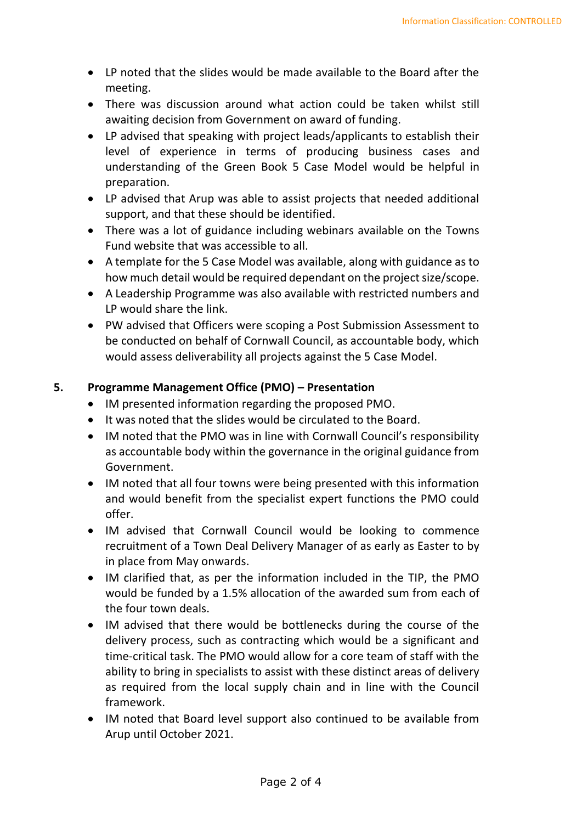- LP noted that the slides would be made available to the Board after the meeting.
- There was discussion around what action could be taken whilst still awaiting decision from Government on award of funding.
- LP advised that speaking with project leads/applicants to establish their level of experience in terms of producing business cases and understanding of the Green Book 5 Case Model would be helpful in preparation.
- LP advised that Arup was able to assist projects that needed additional support, and that these should be identified.
- There was a lot of guidance including webinars available on the Towns Fund website that was accessible to all.
- A template for the 5 Case Model was available, along with guidance as to how much detail would be required dependant on the project size/scope.
- A Leadership Programme was also available with restricted numbers and LP would share the link.
- PW advised that Officers were scoping a Post Submission Assessment to be conducted on behalf of Cornwall Council, as accountable body, which would assess deliverability all projects against the 5 Case Model.

### **5. Programme Management Office (PMO) – Presentation**

- IM presented information regarding the proposed PMO.
- It was noted that the slides would be circulated to the Board.
- IM noted that the PMO was in line with Cornwall Council's responsibility as accountable body within the governance in the original guidance from Government.
- IM noted that all four towns were being presented with this information and would benefit from the specialist expert functions the PMO could offer.
- IM advised that Cornwall Council would be looking to commence recruitment of a Town Deal Delivery Manager of as early as Easter to by in place from May onwards.
- IM clarified that, as per the information included in the TIP, the PMO would be funded by a 1.5% allocation of the awarded sum from each of the four town deals.
- IM advised that there would be bottlenecks during the course of the delivery process, such as contracting which would be a significant and time-critical task. The PMO would allow for a core team of staff with the ability to bring in specialists to assist with these distinct areas of delivery as required from the local supply chain and in line with the Council framework.
- IM noted that Board level support also continued to be available from Arup until October 2021.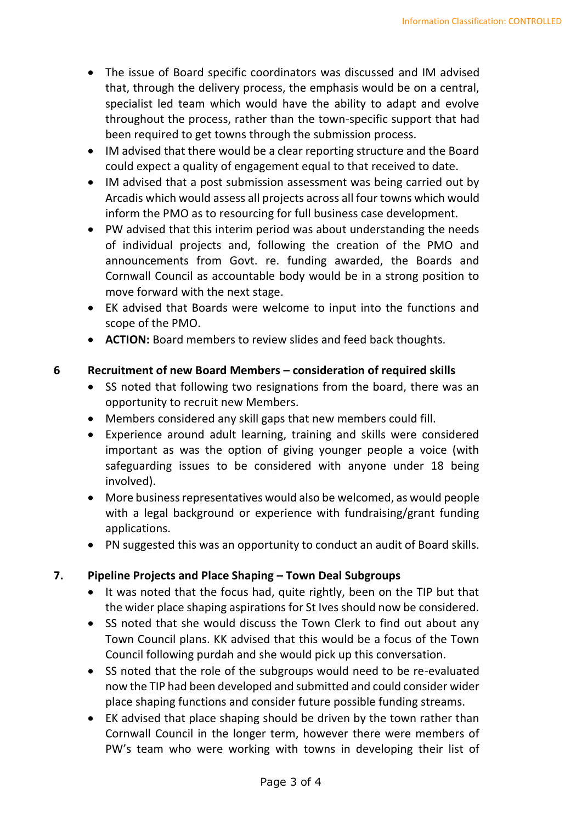- The issue of Board specific coordinators was discussed and IM advised that, through the delivery process, the emphasis would be on a central, specialist led team which would have the ability to adapt and evolve throughout the process, rather than the town-specific support that had been required to get towns through the submission process.
- IM advised that there would be a clear reporting structure and the Board could expect a quality of engagement equal to that received to date.
- IM advised that a post submission assessment was being carried out by Arcadis which would assess all projects across all four towns which would inform the PMO as to resourcing for full business case development.
- PW advised that this interim period was about understanding the needs of individual projects and, following the creation of the PMO and announcements from Govt. re. funding awarded, the Boards and Cornwall Council as accountable body would be in a strong position to move forward with the next stage.
- EK advised that Boards were welcome to input into the functions and scope of the PMO.
- **ACTION:** Board members to review slides and feed back thoughts.

#### **6 Recruitment of new Board Members – consideration of required skills**

- SS noted that following two resignations from the board, there was an opportunity to recruit new Members.
- Members considered any skill gaps that new members could fill.
- Experience around adult learning, training and skills were considered important as was the option of giving younger people a voice (with safeguarding issues to be considered with anyone under 18 being involved).
- More business representatives would also be welcomed, as would people with a legal background or experience with fundraising/grant funding applications.
- PN suggested this was an opportunity to conduct an audit of Board skills.

### **7. Pipeline Projects and Place Shaping – Town Deal Subgroups**

- It was noted that the focus had, quite rightly, been on the TIP but that the wider place shaping aspirations for St Ives should now be considered.
- SS noted that she would discuss the Town Clerk to find out about any Town Council plans. KK advised that this would be a focus of the Town Council following purdah and she would pick up this conversation.
- SS noted that the role of the subgroups would need to be re-evaluated now the TIP had been developed and submitted and could consider wider place shaping functions and consider future possible funding streams.
- EK advised that place shaping should be driven by the town rather than Cornwall Council in the longer term, however there were members of PW's team who were working with towns in developing their list of